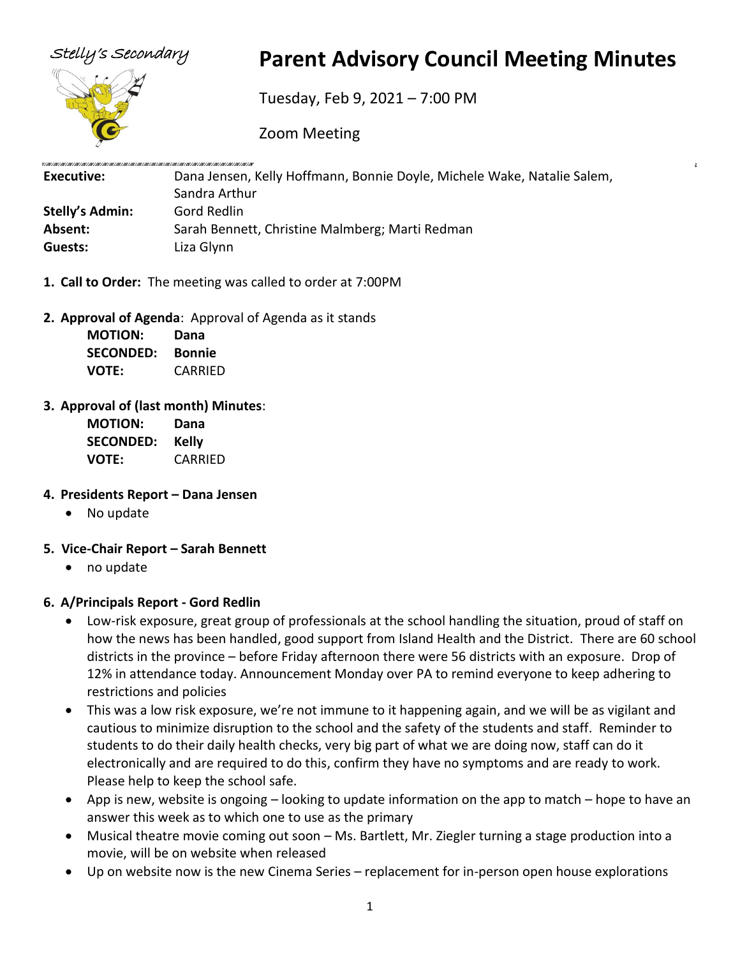

# Stelly's Secondary **Parent Advisory Council Meeting Minutes**

Tuesday, Feb 9, 2021 – 7:00 PM

Zoom Meeting

| Executive:             | Dana Jensen, Kelly Hoffmann, Bonnie Doyle, Michele Wake, Natalie Salem, |  |
|------------------------|-------------------------------------------------------------------------|--|
|                        | Sandra Arthur                                                           |  |
| <b>Stelly's Admin:</b> | Gord Redlin                                                             |  |
| Absent:                | Sarah Bennett, Christine Malmberg; Marti Redman                         |  |
| Guests:                | Liza Glynn                                                              |  |

- **1. Call to Order:** The meeting was called to order at 7:00PM
- **2. Approval of Agenda**: Approval of Agenda as it stands

| <b>MOTION:</b>   | Dana          |
|------------------|---------------|
| <b>SECONDED:</b> | <b>Bonnie</b> |
| <b>VOTE:</b>     | CARRIED       |

**3. Approval of (last month) Minutes**:

| <b>MOTION:</b>   | Dana         |
|------------------|--------------|
| <b>SECONDED:</b> | <b>Kelly</b> |
| VOTE:            | CARRIED      |

- **4. Presidents Report – Dana Jensen**
	- No update
- **5. Vice-Chair Report – Sarah Bennett**
	- no update

## **6. A/Principals Report - Gord Redlin**

- Low-risk exposure, great group of professionals at the school handling the situation, proud of staff on how the news has been handled, good support from Island Health and the District. There are 60 school districts in the province – before Friday afternoon there were 56 districts with an exposure. Drop of 12% in attendance today. Announcement Monday over PA to remind everyone to keep adhering to restrictions and policies
- This was a low risk exposure, we're not immune to it happening again, and we will be as vigilant and cautious to minimize disruption to the school and the safety of the students and staff. Reminder to students to do their daily health checks, very big part of what we are doing now, staff can do it electronically and are required to do this, confirm they have no symptoms and are ready to work. Please help to keep the school safe.
- App is new, website is ongoing looking to update information on the app to match hope to have an answer this week as to which one to use as the primary
- Musical theatre movie coming out soon Ms. Bartlett, Mr. Ziegler turning a stage production into a movie, will be on website when released
- Up on website now is the new Cinema Series replacement for in-person open house explorations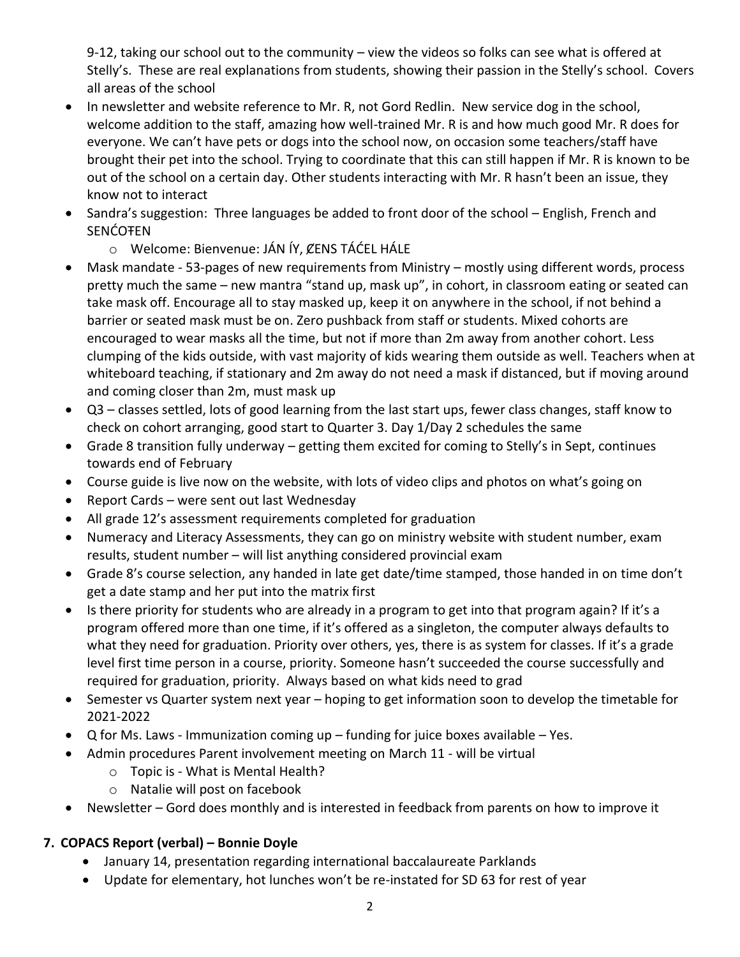9-12, taking our school out to the community – view the videos so folks can see what is offered at Stelly's. These are real explanations from students, showing their passion in the Stelly's school. Covers all areas of the school

- In newsletter and website reference to Mr. R, not Gord Redlin. New service dog in the school, welcome addition to the staff, amazing how well-trained Mr. R is and how much good Mr. R does for everyone. We can't have pets or dogs into the school now, on occasion some teachers/staff have brought their pet into the school. Trying to coordinate that this can still happen if Mr. R is known to be out of the school on a certain day. Other students interacting with Mr. R hasn't been an issue, they know not to interact
- Sandra's suggestion: Three languages be added to front door of the school English, French and SENĆOŦEN
	- o Welcome: Bienvenue: JÁN ÍY, ȻENS TÁĆEL HÁLE
- Mask mandate 53-pages of new requirements from Ministry mostly using different words, process pretty much the same – new mantra "stand up, mask up", in cohort, in classroom eating or seated can take mask off. Encourage all to stay masked up, keep it on anywhere in the school, if not behind a barrier or seated mask must be on. Zero pushback from staff or students. Mixed cohorts are encouraged to wear masks all the time, but not if more than 2m away from another cohort. Less clumping of the kids outside, with vast majority of kids wearing them outside as well. Teachers when at whiteboard teaching, if stationary and 2m away do not need a mask if distanced, but if moving around and coming closer than 2m, must mask up
- Q3 classes settled, lots of good learning from the last start ups, fewer class changes, staff know to check on cohort arranging, good start to Quarter 3. Day 1/Day 2 schedules the same
- Grade 8 transition fully underway getting them excited for coming to Stelly's in Sept, continues towards end of February
- Course guide is live now on the website, with lots of video clips and photos on what's going on
- Report Cards were sent out last Wednesday
- All grade 12's assessment requirements completed for graduation
- Numeracy and Literacy Assessments, they can go on ministry website with student number, exam results, student number – will list anything considered provincial exam
- Grade 8's course selection, any handed in late get date/time stamped, those handed in on time don't get a date stamp and her put into the matrix first
- Is there priority for students who are already in a program to get into that program again? If it's a program offered more than one time, if it's offered as a singleton, the computer always defaults to what they need for graduation. Priority over others, yes, there is as system for classes. If it's a grade level first time person in a course, priority. Someone hasn't succeeded the course successfully and required for graduation, priority. Always based on what kids need to grad
- Semester vs Quarter system next year hoping to get information soon to develop the timetable for 2021-2022
- $Q$  for Ms. Laws Immunization coming up funding for juice boxes available Yes.
- Admin procedures Parent involvement meeting on March 11 will be virtual
	- o Topic is What is Mental Health?
	- o Natalie will post on facebook
- Newsletter Gord does monthly and is interested in feedback from parents on how to improve it

## **7. COPACS Report (verbal) – Bonnie Doyle**

- January 14, presentation regarding international baccalaureate Parklands
- Update for elementary, hot lunches won't be re-instated for SD 63 for rest of year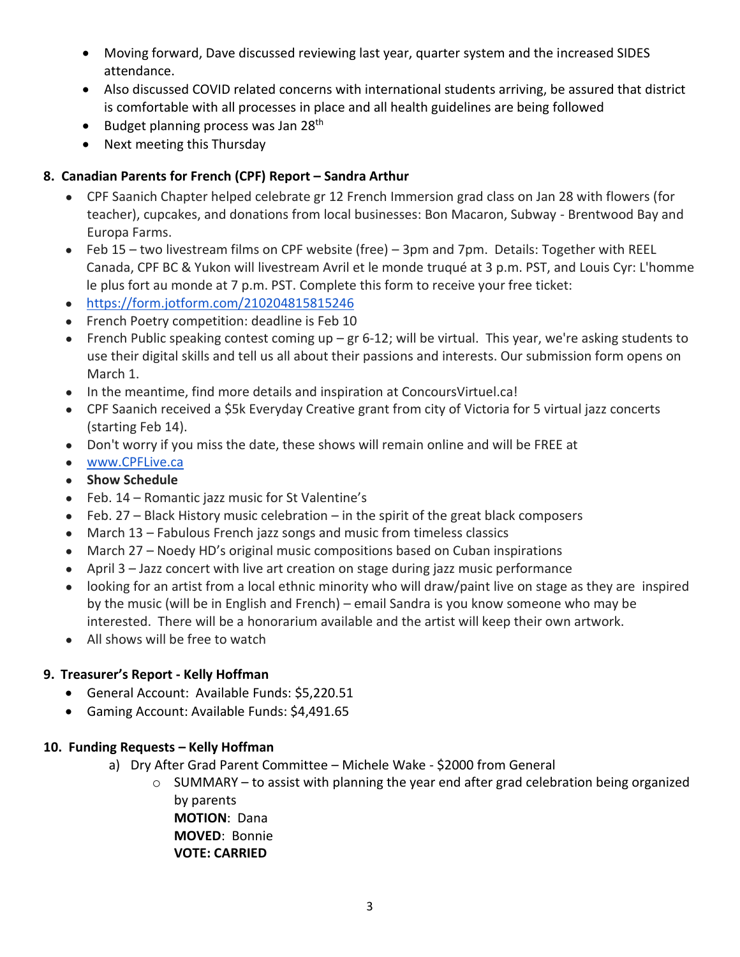- Moving forward, Dave discussed reviewing last year, quarter system and the increased SIDES attendance.
- Also discussed COVID related concerns with international students arriving, be assured that district is comfortable with all processes in place and all health guidelines are being followed
- Budget planning process was Jan  $28<sup>th</sup>$
- Next meeting this Thursday

### **8. Canadian Parents for French (CPF) Report – Sandra Arthur**

- CPF Saanich Chapter helped celebrate gr 12 French Immersion grad class on Jan 28 with flowers (for teacher), cupcakes, and donations from local businesses: Bon Macaron, Subway - Brentwood Bay and Europa Farms.
- Feb 15 two livestream films on CPF website (free) 3pm and 7pm. Details: Together with REEL Canada, CPF BC & Yukon will livestream Avril et le monde truqué at 3 p.m. PST, and Louis Cyr: L'homme le plus fort au monde at 7 p.m. PST. Complete this form to receive your free ticket:
- [https://form.jotform.com/210204815815246](https://form.jotform.com/210204815815246?fbclid=IwAR0WodsR3oUuxAunYuNA60nQLwGoeXu6KG1p2QCbPYACH3fPecElAr258Xc)
- French Poetry competition: deadline is Feb 10
- French Public speaking contest coming up gr 6-12; will be virtual. This year, we're asking students to use their digital skills and tell us all about their passions and interests. Our submission form opens on March 1.
- In the meantime, find more details and inspiration at ConcoursVirtuel.ca!
- CPF Saanich received a \$5k Everyday Creative grant from city of Victoria for 5 virtual jazz concerts (starting Feb 14).
- Don't worry if you miss the date, these shows will remain online and will be FREE at
- [www.CPFLive.ca](https://l.facebook.com/l.php?u=http%3A%2F%2Fwww.CPFLive.ca%2F%3Ffbclid%3DIwAR2AFiJLDv2BS-XDn8R9KM-2nm89BImCFAlYwRCvsT0SpqMLLgbOk9b_vts&h=AT03wopVU3gFCLYBEOZqWJ94v7R0eXXNJ2NfUUFtr64yx2z3-ZwH_x4tUkoCyhmWkf-mnEk7vDleDa9iakaI1VbEbJVGho4TQjJcymAz7YbJ7yYkyIcN6EHmmNg1VAxRXtQlAc0&__tn__=-UK-R&c%5B0%5D=AT3J8d85u-MJE8AuhxDNPT7TEEBhLyZpoqFVmxfALEYVbz_CzxKIaV7IxYdapbGFkOnpIopwLOHz7zBCOQlOHdIFwgS8scI9QPG5pp0BT3YTy-L3n24NCq6kmN6RiZcskDC4EYwAHDxgST8u93LuWXnzO5b6SX3UBXLn6kmiVNWgsDkciU2qhLrOnr-rT3jjUbNuQsqv)
- **Show Schedule**
- Feb. 14 Romantic jazz music for St Valentine's
- $\bullet$  Feb. 27 Black History music celebration in the spirit of the great black composers
- March 13 Fabulous French jazz songs and music from timeless classics
- March 27 Noedy HD's original music compositions based on Cuban inspirations
- April 3 Jazz concert with live art creation on stage during jazz music performance
- looking for an artist from a local ethnic minority who will draw/paint live on stage as they are inspired by the music (will be in English and French) – email Sandra is you know someone who may be interested. There will be a honorarium available and the artist will keep their own artwork.
- All shows will be free to watch

## **9. Treasurer's Report - Kelly Hoffman**

- General Account: Available Funds: \$5,220.51
- Gaming Account: Available Funds: \$4,491.65

#### **10. Funding Requests – Kelly Hoffman**

- a) Dry After Grad Parent Committee Michele Wake \$2000 from General
	- o SUMMARY to assist with planning the year end after grad celebration being organized by parents **MOTION**: Dana **MOVED**: Bonnie

**VOTE: CARRIED**